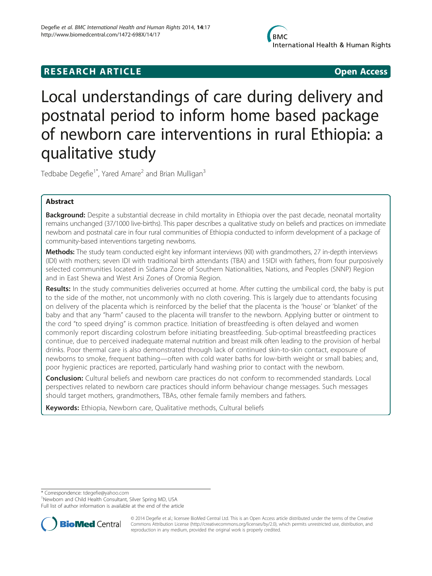# **RESEARCH ARTICLE CONSUMING A RESEARCH ARTICLE**

Local understandings of care during delivery and postnatal period to inform home based package of newborn care interventions in rural Ethiopia: a qualitative study

Tedbabe Degefie<sup>1\*</sup>, Yared Amare<sup>2</sup> and Brian Mulligan<sup>3</sup>

## Abstract

**Background:** Despite a substantial decrease in child mortality in Ethiopia over the past decade, neonatal mortality remains unchanged (37/1000 live-births). This paper describes a qualitative study on beliefs and practices on immediate newborn and postnatal care in four rural communities of Ethiopia conducted to inform development of a package of community-based interventions targeting newborns.

Methods: The study team conducted eight key informant interviews (KII) with grandmothers, 27 in-depth interviews (IDI) with mothers; seven IDI with traditional birth attendants (TBA) and 15IDI with fathers, from four purposively selected communities located in Sidama Zone of Southern Nationalities, Nations, and Peoples (SNNP) Region and in East Shewa and West Arsi Zones of Oromia Region.

Results: In the study communities deliveries occurred at home. After cutting the umbilical cord, the baby is put to the side of the mother, not uncommonly with no cloth covering. This is largely due to attendants focusing on delivery of the placenta which is reinforced by the belief that the placenta is the 'house' or 'blanket' of the baby and that any "harm" caused to the placenta will transfer to the newborn. Applying butter or ointment to the cord "to speed drying" is common practice. Initiation of breastfeeding is often delayed and women commonly report discarding colostrum before initiating breastfeeding. Sub-optimal breastfeeding practices continue, due to perceived inadequate maternal nutrition and breast milk often leading to the provision of herbal drinks. Poor thermal care is also demonstrated through lack of continued skin-to-skin contact, exposure of newborns to smoke, frequent bathing—often with cold water baths for low-birth weight or small babies; and, poor hygienic practices are reported, particularly hand washing prior to contact with the newborn.

**Conclusion:** Cultural beliefs and newborn care practices do not conform to recommended standards. Local perspectives related to newborn care practices should inform behaviour change messages. Such messages should target mothers, grandmothers, TBAs, other female family members and fathers.

Keywords: Ethiopia, Newborn care, Qualitative methods, Cultural beliefs

\* Correspondence: [tdegefie@yahoo.com](mailto:tdegefie@yahoo.com) <sup>1</sup>

Newborn and Child Health Consultant, Silver Spring MD, USA

Full list of author information is available at the end of the article



© 2014 Degefie et al.; licensee BioMed Central Ltd. This is an Open Access article distributed under the terms of the Creative Commons Attribution License [\(http://creativecommons.org/licenses/by/2.0\)](http://creativecommons.org/licenses/by/2.0), which permits unrestricted use, distribution, and reproduction in any medium, provided the original work is properly credited.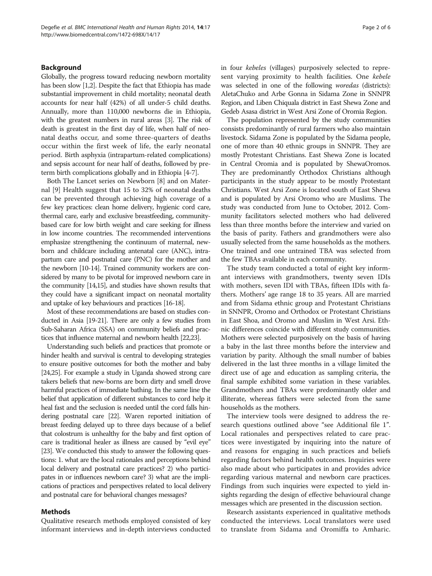## Background

Globally, the progress toward reducing newborn mortality has been slow [\[1,2](#page-5-0)]. Despite the fact that Ethiopia has made substantial improvement in child mortality; neonatal death accounts for near half (42%) of all under-5 child deaths. Annually, more than 110,000 newborns die in Ethiopia, with the greatest numbers in rural areas [\[3](#page-5-0)]. The risk of death is greatest in the first day of life, when half of neonatal deaths occur, and some three-quarters of deaths occur within the first week of life, the early neonatal period. Birth asphyxia (intrapartum-related complications) and sepsis account for near half of deaths, followed by preterm birth complications globally and in Ethiopia [\[4-7](#page-5-0)].

Both The Lancet series on Newborn [[8\]](#page-5-0) and on Maternal [[9](#page-5-0)] Health suggest that 15 to 32% of neonatal deaths can be prevented through achieving high coverage of a few key practices: clean home delivery, hygienic cord care, thermal care, early and exclusive breastfeeding, communitybased care for low birth weight and care seeking for illness in low income countries. The recommended interventions emphasize strengthening the continuum of maternal, newborn and childcare including antenatal care (ANC), intrapartum care and postnatal care (PNC) for the mother and the newborn [\[10-14](#page-5-0)]. Trained community workers are considered by many to be pivotal for improved newborn care in the community [[14,15](#page-5-0)], and studies have shown results that they could have a significant impact on neonatal mortality and uptake of key behaviours and practices [\[16-18](#page-5-0)].

Most of these recommendations are based on studies conducted in Asia [\[19](#page-5-0)-[21\]](#page-5-0). There are only a few studies from Sub-Saharan Africa (SSA) on community beliefs and practices that influence maternal and newborn health [[22,23](#page-5-0)].

Understanding such beliefs and practices that promote or hinder health and survival is central to developing strategies to ensure positive outcomes for both the mother and baby [[24,25](#page-5-0)]. For example a study in Uganda showed strong care takers beliefs that new-borns are born dirty and smell drove harmful practices of immediate bathing. In the same line the belief that application of different substances to cord help it heal fast and the seclusion is needed until the cord falls hindering postnatal care [\[22](#page-5-0)]. Waren reported initiation of breast feeding delayed up to three days because of a belief that colostrum is unhealthy for the baby and first option of care is traditional healer as illness are caused by "evil eye" [[23\]](#page-5-0). We conducted this study to answer the following questions: 1. what are the local rationales and perceptions behind local delivery and postnatal care practices? 2) who participates in or influences newborn care? 3) what are the implications of practices and perspectives related to local delivery and postnatal care for behavioral changes messages?

#### Methods

Qualitative research methods employed consisted of key informant interviews and in-depth interviews conducted in four kebeles (villages) purposively selected to represent varying proximity to health facilities. One kebele was selected in one of the following woredas (districts): AletaChuko and Arbe Gonna in Sidama Zone in SNNPR Region, and Liben Chiquala district in East Shewa Zone and Gedeb Asasa district in West Arsi Zone of Oromia Region.

The population represented by the study communities consists predominantly of rural farmers who also maintain livestock. Sidama Zone is populated by the Sidama people, one of more than 40 ethnic groups in SNNPR. They are mostly Protestant Christians. East Shewa Zone is located in Central Oromia and is populated by ShewaOromos. They are predominantly Orthodox Christians although participants in the study appear to be mostly Protestant Christians. West Arsi Zone is located south of East Shewa and is populated by Arsi Oromo who are Muslims. The study was conducted from June to October, 2012. Community facilitators selected mothers who had delivered less than three months before the interview and varied on the basis of parity. Fathers and grandmothers were also usually selected from the same households as the mothers. One trained and one untrained TBA was selected from the few TBAs available in each community.

The study team conducted a total of eight key informant interviews with grandmothers, twenty seven IDIs with mothers, seven IDI with TBAs, fifteen IDIs with fathers. Mothers' age range 18 to 35 years. All are married and from Sidama ethnic group and Protestant Christians in SNNPR, Oromo and Orthodox or Protestant Christians in East Shoa, and Oromo and Muslim in West Arsi. Ethnic differences coincide with different study communities. Mothers were selected purposively on the basis of having a baby in the last three months before the interview and variation by parity. Although the small number of babies delivered in the last three months in a village limited the direct use of age and education as sampling criteria, the final sample exhibited some variation in these variables. Grandmothers and TBAs were predominantly older and illiterate, whereas fathers were selected from the same households as the mothers.

The interview tools were designed to address the research questions outlined above "see Additional file [1](#page-4-0)". Local rationales and perspectives related to care practices were investigated by inquiring into the nature of and reasons for engaging in such practices and beliefs regarding factors behind health outcomes. Inquiries were also made about who participates in and provides advice regarding various maternal and newborn care practices. Findings from such inquiries were expected to yield insights regarding the design of effective behavioural change messages which are presented in the discussion section.

Research assistants experienced in qualitative methods conducted the interviews. Local translators were used to translate from Sidama and Oromiffa to Amharic.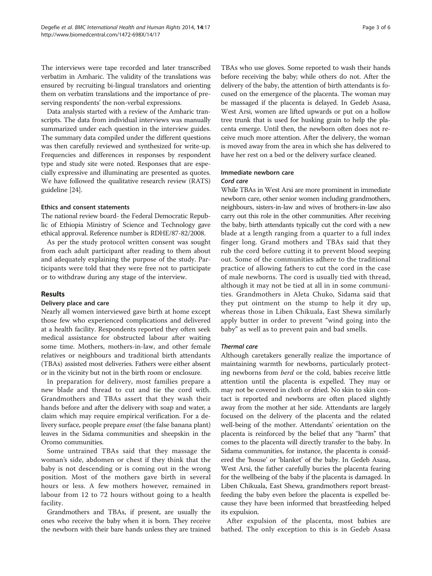The interviews were tape recorded and later transcribed verbatim in Amharic. The validity of the translations was ensured by recruiting bi-lingual translators and orienting them on verbatim translations and the importance of preserving respondents' the non-verbal expressions.

Data analysis started with a review of the Amharic transcripts. The data from individual interviews was manually summarized under each question in the interview guides. The summary data compiled under the different questions was then carefully reviewed and synthesized for write-up. Frequencies and differences in responses by respondent type and study site were noted. Responses that are especially expressive and illuminating are presented as quotes. We have followed the qualitative research review (RATS) guideline [[24](#page-5-0)].

#### Ethics and consent statements

The national review board- the Federal Democratic Republic of Ethiopia Ministry of Science and Technology gave ethical approval. Reference number is RDHE/87-82/2008.

As per the study protocol written consent was sought from each adult participant after reading to them about and adequately explaining the purpose of the study. Participants were told that they were free not to participate or to withdraw during any stage of the interview.

### Results

#### Delivery place and care

Nearly all women interviewed gave birth at home except those few who experienced complications and delivered at a health facility. Respondents reported they often seek medical assistance for obstructed labour after waiting some time. Mothers, mothers-in-law, and other female relatives or neighbours and traditional birth attendants (TBAs) assisted most deliveries. Fathers were either absent or in the vicinity but not in the birth room or enclosure.

In preparation for delivery, most families prepare a new blade and thread to cut and tie the cord with. Grandmothers and TBAs assert that they wash their hands before and after the delivery with soap and water, a claim which may require empirical verification. For a delivery surface, people prepare *enset* (the false banana plant) leaves in the Sidama communities and sheepskin in the Oromo communities.

Some untrained TBAs said that they massage the woman's side, abdomen or chest if they think that the baby is not descending or is coming out in the wrong position. Most of the mothers gave birth in several hours or less. A few mothers however, remained in labour from 12 to 72 hours without going to a health facility.

Grandmothers and TBAs, if present, are usually the ones who receive the baby when it is born. They receive the newborn with their bare hands unless they are trained

TBAs who use gloves. Some reported to wash their hands before receiving the baby; while others do not. After the delivery of the baby, the attention of birth attendants is focused on the emergence of the placenta. The woman may be massaged if the placenta is delayed. In Gedeb Asasa, West Arsi, women are lifted upwards or put on a hollow tree trunk that is used for husking grain to help the placenta emerge. Until then, the newborn often does not receive much more attention. After the delivery, the woman is moved away from the area in which she has delivered to have her rest on a bed or the delivery surface cleaned.

#### Immediate newborn care

## Cord care

While TBAs in West Arsi are more prominent in immediate newborn care, other senior women including grandmothers, neighbours, sisters-in-law and wives of brothers-in-law also carry out this role in the other communities. After receiving the baby, birth attendants typically cut the cord with a new blade at a length ranging from a quarter to a full index finger long. Grand mothers and TBAs said that they rub the cord before cutting it to prevent blood seeping out. Some of the communities adhere to the traditional practice of allowing fathers to cut the cord in the case of male newborns. The cord is usually tied with thread, although it may not be tied at all in in some communities. Grandmothers in Aleta Chuko, Sidama said that they put ointment on the stump to help it dry up, whereas those in Liben Chikuala, East Shewa similarly apply butter in order to prevent "wind going into the baby" as well as to prevent pain and bad smells.

#### Thermal care

Although caretakers generally realize the importance of maintaining warmth for newborns, particularly protecting newborns from berd or the cold, babies receive little attention until the placenta is expelled. They may or may not be covered in cloth or dried. No skin to skin contact is reported and newborns are often placed slightly away from the mother at her side. Attendants are largely focused on the delivery of the placenta and the related well-being of the mother. Attendants' orientation on the placenta is reinforced by the belief that any "harm" that comes to the placenta will directly transfer to the baby. In Sidama communities, for instance, the placenta is considered the 'house' or 'blanket' of the baby. In Gedeb Asasa, West Arsi, the father carefully buries the placenta fearing for the wellbeing of the baby if the placenta is damaged. In Liben Chikuala, East Shewa, grandmothers report breastfeeding the baby even before the placenta is expelled because they have been informed that breastfeeding helped its expulsion.

After expulsion of the placenta, most babies are bathed. The only exception to this is in Gedeb Asasa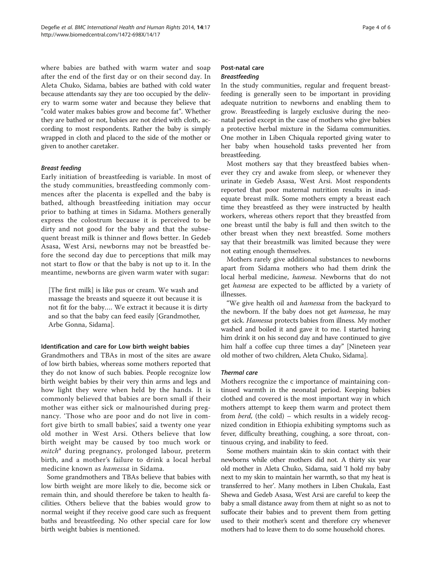where babies are bathed with warm water and soap after the end of the first day or on their second day. In Aleta Chuko, Sidama, babies are bathed with cold water because attendants say they are too occupied by the delivery to warm some water and because they believe that "cold water makes babies grow and become fat". Whether they are bathed or not, babies are not dried with cloth, according to most respondents. Rather the baby is simply wrapped in cloth and placed to the side of the mother or given to another caretaker.

#### Breast feeding

Early initiation of breastfeeding is variable. In most of the study communities, breastfeeding commonly commences after the placenta is expelled and the baby is bathed, although breastfeeding initiation may occur prior to bathing at times in Sidama. Mothers generally express the colostrum because it is perceived to be dirty and not good for the baby and that the subsequent breast milk is thinner and flows better. In Gedeb Asasa, West Arsi, newborns may not be breastfed before the second day due to perceptions that milk may not start to flow or that the baby is not up to it. In the meantime, newborns are given warm water with sugar:

[The first milk] is like pus or cream. We wash and massage the breasts and squeeze it out because it is not fit for the baby…. We extract it because it is dirty and so that the baby can feed easily [Grandmother, Arbe Gonna, Sidama].

#### Identification and care for Low birth weight babies

Grandmothers and TBAs in most of the sites are aware of low birth babies, whereas some mothers reported that they do not know of such babies. People recognize low birth weight babies by their very thin arms and legs and how light they were when held by the hands. It is commonly believed that babies are born small if their mother was either sick or malnourished during pregnancy. 'Those who are poor and do not live in comfort give birth to small babies', said a twenty one year old mother in West Arsi. Others believe that low birth weight may be caused by too much work or  $\textit{mitch}^{\text{a}}$  during pregnancy, prolonged labour, preterm birth, and a mother's failure to drink a local herbal medicine known as hamessa in Sidama.

Some grandmothers and TBAs believe that babies with low birth weight are more likely to die, become sick or remain thin, and should therefore be taken to health facilities. Others believe that the babies would grow to normal weight if they receive good care such as frequent baths and breastfeeding. No other special care for low birth weight babies is mentioned.

### Post-natal care Breastfeeding

In the study communities, regular and frequent breastfeeding is generally seen to be important in providing adequate nutrition to newborns and enabling them to grow. Breastfeeding is largely exclusive during the neonatal period except in the case of mothers who give babies a protective herbal mixture in the Sidama communities. One mother in Liben Chiquala reported giving water to her baby when household tasks prevented her from breastfeeding.

Most mothers say that they breastfeed babies whenever they cry and awake from sleep, or whenever they urinate in Gedeb Asasa, West Arsi. Most respondents reported that poor maternal nutrition results in inadequate breast milk. Some mothers empty a breast each time they breastfeed as they were instructed by health workers, whereas others report that they breastfed from one breast until the baby is full and then switch to the other breast when they next breastfed. Some mothers say that their breastmilk was limited because they were not eating enough themselves.

Mothers rarely give additional substances to newborns apart from Sidama mothers who had them drink the local herbal medicine, hamesa. Newborns that do not get hamesa are expected to be afflicted by a variety of illnesses.

"We give health oil and *hamessa* from the backyard to the newborn. If the baby does not get *hamessa*, he may get sick. Hamessa protects babies from illness. My mother washed and boiled it and gave it to me. I started having him drink it on his second day and have continued to give him half a coffee cup three times a day" [Nineteen year old mother of two children, Aleta Chuko, Sidama].

## Thermal care

Mothers recognize the c importance of maintaining continued warmth in the neonatal period. Keeping babies clothed and covered is the most important way in which mothers attempt to keep them warm and protect them from *berd*, (the cold) – which results in a widely recognized condition in Ethiopia exhibiting symptoms such as fever, difficulty breathing, coughing, a sore throat, continuous crying, and inability to feed.

Some mothers maintain skin to skin contact with their newborns while other mothers did not. A thirty six year old mother in Aleta Chuko, Sidama, said 'I hold my baby next to my skin to maintain her warmth, so that my heat is transferred to her'. Many mothers in Liben Chukala, East Shewa and Gedeb Asasa, West Arsi are careful to keep the baby a small distance away from them at night so as not to suffocate their babies and to prevent them from getting used to their mother's scent and therefore cry whenever mothers had to leave them to do some household chores.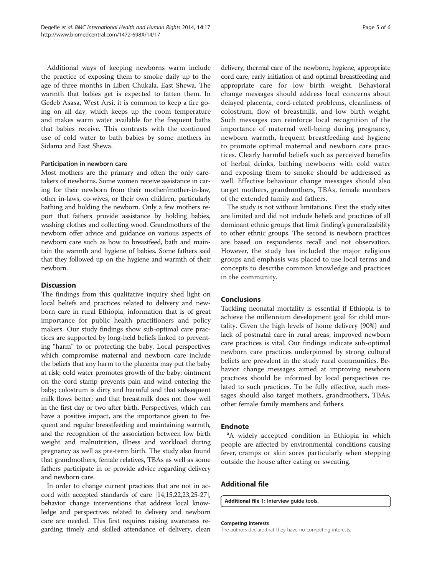<span id="page-4-0"></span>Additional ways of keeping newborns warm include the practice of exposing them to smoke daily up to the age of three months in Liben Chukala, East Shewa. The warmth that babies get is expected to fatten them. In Gedeb Asasa, West Arsi, it is common to keep a fire going on all day, which keeps up the room temperature and makes warm water available for the frequent baths that babies receive. This contrasts with the continued use of cold water to bath babies by some mothers in Sidama and East Shewa.

#### Participation in newborn care

Most mothers are the primary and often the only caretakers of newborns. Some women receive assistance in caring for their newborn from their mother/mother-in-law, other in-laws, co-wives, or their own children, particularly bathing and holding the newborn. Only a few mothers report that fathers provide assistance by holding babies, washing clothes and collecting wood. Grandmothers of the newborn offer advice and guidance on various aspects of newborn care such as how to breastfeed, bath and maintain the warmth and hygiene of babies. Some fathers said that they followed up on the hygiene and warmth of their newborn.

### **Discussion**

The findings from this qualitative inquiry shed light on local beliefs and practices related to delivery and newborn care in rural Ethiopia, information that is of great importance for public health practitioners and policy makers. Our study findings show sub-optimal care practices are supported by long-held beliefs linked to preventing "harm" to or protecting the baby. Local perspectives which compromise maternal and newborn care include the beliefs that any harm to the placenta may put the baby at risk; cold water promotes growth of the baby; ointment on the cord stamp prevents pain and wind entering the baby; colostrum is dirty and harmful and that subsequent milk flows better; and that breastmilk does not flow well in the first day or two after birth. Perspectives, which can have a positive impact, are the importance given to frequent and regular breastfeeding and maintaining warmth, and the recognition of the association between low birth weight and malnutrition, illness and workload during pregnancy as well as pre-term birth. The study also found that grandmothers, female relatives, TBAs as well as some fathers participate in or provide advice regarding delivery and newborn care.

In order to change current practices that are not in accord with accepted standards of care [[14,15,22,23,25](#page-5-0)-[27](#page-5-0)], behavior change interventions that address local knowledge and perspectives related to delivery and newborn care are needed. This first requires raising awareness regarding timely and skilled attendance of delivery, clean delivery, thermal care of the newborn, hygiene, appropriate cord care, early initiation of and optimal breastfeeding and appropriate care for low birth weight. Behavioral change messages should address local concerns about delayed placenta, cord-related problems, cleanliness of colostrum, flow of breastmilk, and low birth weight. Such messages can reinforce local recognition of the importance of maternal well-being during pregnancy, newborn warmth, frequent breastfeeding and hygiene to promote optimal maternal and newborn care practices. Clearly harmful beliefs such as perceived benefits of herbal drinks, bathing newborns with cold water and exposing them to smoke should be addressed as well. Effective behaviour change messages should also target mothers, grandmothers, TBAs, female members of the extended family and fathers.

The study is not without limitations. First the study sites are limited and did not include beliefs and practices of all dominant ethnic groups that limit finding's generalizability to other ethnic groups. The second is newborn practices are based on respondents recall and not observation. However, the study has included the major religious groups and emphasis was placed to use local terms and concepts to describe common knowledge and practices in the community.

#### **Conclusions**

Tackling neonatal mortality is essential if Ethiopia is to achieve the millennium development goal for child mortality. Given the high levels of home delivery (90%) and lack of postnatal care in rural areas, improved newborn care practices is vital. Our findings indicate sub-optimal newborn care practices underpinned by strong cultural beliefs are prevalent in the study rural communities. Behavior change messages aimed at improving newborn practices should be informed by local perspectives related to such practices. To be fully effective, such messages should also target mothers, grandmothers, TBAs, other female family members and fathers.

#### **Endnote**

<sup>a</sup>A widely accepted condition in Ethiopia in which people are affected by environmental conditions causing fever, cramps or skin sores particularly when stepping outside the house after eating or sweating.

## Additional file

[Additional file 1:](http://www.biomedcentral.com/content/supplementary/1472-698X-14-17-S1.docx) Interview guide tools.

#### Competing interests

The authors declare that they have no competing interests.